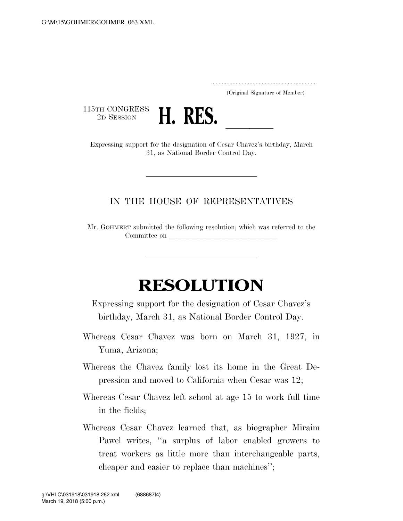..................................................................... (Original Signature of Member)

115TH CONGRESS<br>2D SESSION



2D SESSION **H. RES.**<br>Expressing support for the designation of Cesar Chavez's birthday, March 31, as National Border Control Day.

## IN THE HOUSE OF REPRESENTATIVES

Mr. GOHMERT submitted the following resolution; which was referred to the Committee on

## **RESOLUTION**

- Expressing support for the designation of Cesar Chavez's birthday, March 31, as National Border Control Day.
- Whereas Cesar Chavez was born on March 31, 1927, in Yuma, Arizona;
- Whereas the Chavez family lost its home in the Great Depression and moved to California when Cesar was 12;
- Whereas Cesar Chavez left school at age 15 to work full time in the fields;
- Whereas Cesar Chavez learned that, as biographer Miraim Pawel writes, ''a surplus of labor enabled growers to treat workers as little more than interchangeable parts, cheaper and easier to replace than machines'';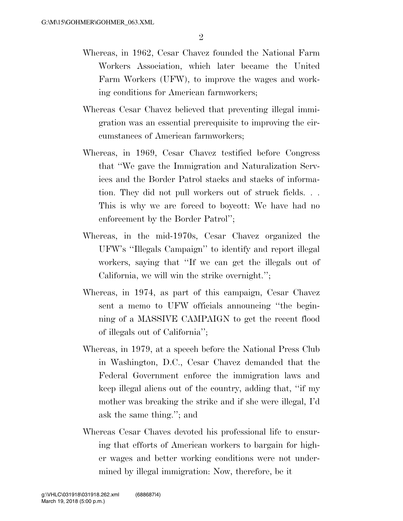- Whereas, in 1962, Cesar Chavez founded the National Farm Workers Association, which later became the United Farm Workers (UFW), to improve the wages and working conditions for American farmworkers;
- Whereas Cesar Chavez believed that preventing illegal immigration was an essential prerequisite to improving the circumstances of American farmworkers;
- Whereas, in 1969, Cesar Chavez testified before Congress that ''We gave the Immigration and Naturalization Services and the Border Patrol stacks and stacks of information. They did not pull workers out of struck fields. . . This is why we are forced to boycott: We have had no enforcement by the Border Patrol";
- Whereas, in the mid-1970s, Cesar Chavez organized the UFW's ''Illegals Campaign'' to identify and report illegal workers, saying that ''If we can get the illegals out of California, we will win the strike overnight.'';
- Whereas, in 1974, as part of this campaign, Cesar Chavez sent a memo to UFW officials announcing ''the beginning of a MASSIVE CAMPAIGN to get the recent flood of illegals out of California'';
- Whereas, in 1979, at a speech before the National Press Club in Washington, D.C., Cesar Chavez demanded that the Federal Government enforce the immigration laws and keep illegal aliens out of the country, adding that, ''if my mother was breaking the strike and if she were illegal, I'd ask the same thing.''; and
- Whereas Cesar Chaves devoted his professional life to ensuring that efforts of American workers to bargain for higher wages and better working conditions were not undermined by illegal immigration: Now, therefore, be it